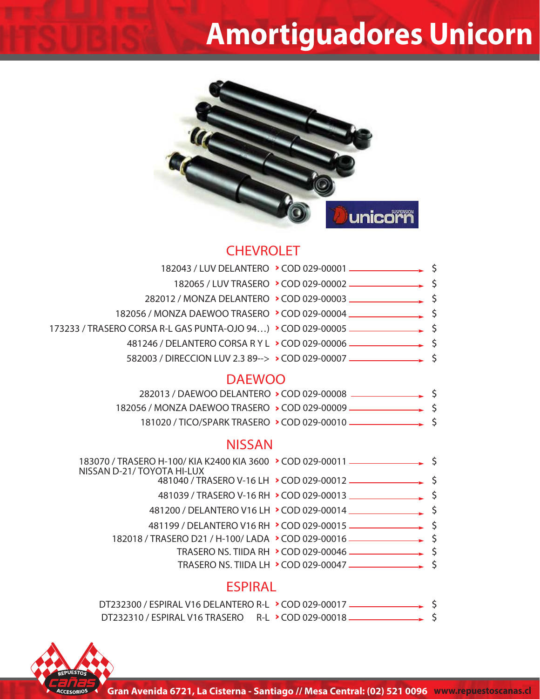## **Amortiguadores Unicorn**



### **CHEVROLET**

| 173233 / TRASERO CORSA R-L GAS PUNTA-OJO 94) > COD 029-00005 - 3                   |  |
|------------------------------------------------------------------------------------|--|
|                                                                                    |  |
|                                                                                    |  |
| <b>DAEWOO</b>                                                                      |  |
| 282013 / DAEWOO DELANTERO > COD 029-00008 - \$                                     |  |
| 182056 / MONZA DAEWOO TRASERO > COD 029-00009 —————————— \$                        |  |
| 181020 / TICO/SPARK TRASERO > COD 029-00010 - \$                                   |  |
| <b>NISSAN</b>                                                                      |  |
|                                                                                    |  |
| NISSAN D-21/TOYOTA HI-LUX                                                          |  |
|                                                                                    |  |
|                                                                                    |  |
|                                                                                    |  |
| 182018 / TRASERO D21 / H-100/ LADA > COD 029-00016 _______________________________ |  |
|                                                                                    |  |
| TRASERO NS. TIIDA LH > COD 029-00047 - \$                                          |  |
| <b>ESPIRAL</b>                                                                     |  |
| DT232300 / ESPIRAL V16 DELANTERO R-L > COD 029-00017 ————————— \$                  |  |
| DT232310 / ESPIRAL V16 TRASERO R-L > COD 029-00018 —————————— \$                   |  |

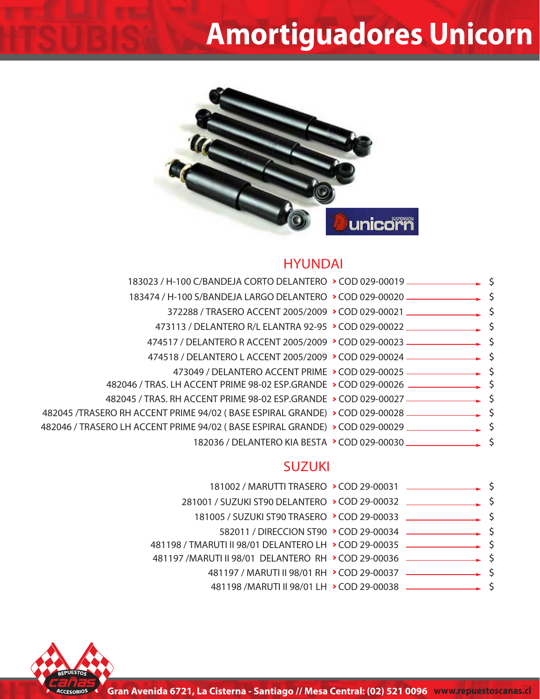### **Amortiguadores Unicorn**



#### **HYUNDAI**

|  | 183023 / H-100 C/BANDEJA CORTO DELANTERO > COD 029-00019 —————————— \$                                           |
|--|------------------------------------------------------------------------------------------------------------------|
|  | 183474 / H-100 S/BANDEJA LARGO DELANTERO > COD 029-00020 ________________________ \$                             |
|  |                                                                                                                  |
|  | 473113 / DELANTERO R/L ELANTRA 92-95 > COD 029-00022 ____________________________ \$                             |
|  |                                                                                                                  |
|  | 474518 / DELANTERO L ACCENT 2005/2009 > COD 029-00024 - \$                                                       |
|  | 473049 / DELANTERO ACCENT PRIME > COD 029-00025 - \$                                                             |
|  |                                                                                                                  |
|  | 482045 / TRAS. RH ACCENT PRIME 98-02 ESP.GRANDE > COD 029-00027 - \$                                             |
|  | 482045 / TRASERO RH ACCENT PRIME 94/02 (BASE ESPIRAL GRANDE) > COD 029-00028 ــــــــــــــــــــــــــــــــ \$ |
|  | 482046 / TRASERO LH ACCENT PRIME 94/02 (BASE ESPIRAL GRANDE) > COD 029-00029 _______________________ \$          |
|  |                                                                                                                  |

#### **SUZUKI**

| 181002 / MARUTTI TRASERO > COD 29-00031 — <u>— — — — →</u>                        |  |  |
|-----------------------------------------------------------------------------------|--|--|
| 281001 / SUZUKI ST90 DELANTERO > COD 29-00032                                     |  |  |
| 181005 / SUZUKI ST90 TRASERO > COD 29-00033                                       |  |  |
|                                                                                   |  |  |
| 481198 / TMARUTI II 98/01 DELANTERO LH > COD 29-00035 - - - - - - - - - - - - - - |  |  |
| 481197 / MARUTI II 98/01 DELANTERO RH > COD 29-00036 - - - - - - - - - - - - - -  |  |  |
|                                                                                   |  |  |
|                                                                                   |  |  |
|                                                                                   |  |  |